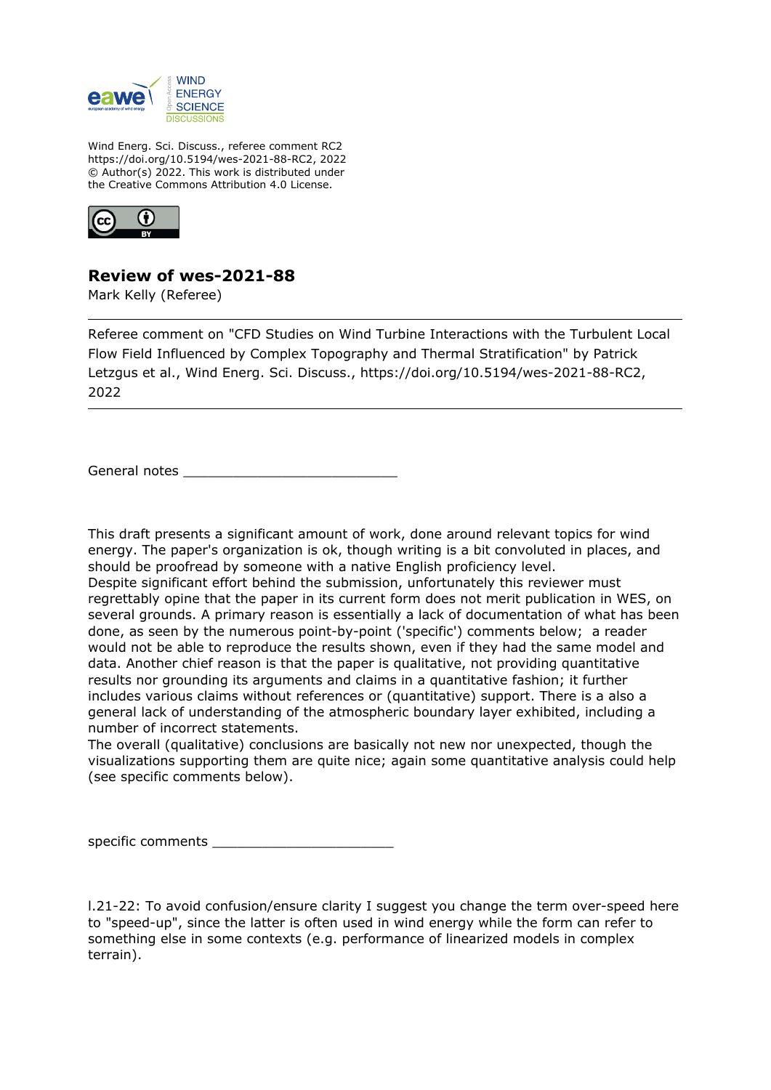

Wind Energ. Sci. Discuss., referee comment RC2 https://doi.org/10.5194/wes-2021-88-RC2, 2022 © Author(s) 2022. This work is distributed under the Creative Commons Attribution 4.0 License.



## **Review of wes-2021-88**

Mark Kelly (Referee)

Referee comment on "CFD Studies on Wind Turbine Interactions with the Turbulent Local Flow Field Influenced by Complex Topography and Thermal Stratification" by Patrick Letzgus et al., Wind Energ. Sci. Discuss., https://doi.org/10.5194/wes-2021-88-RC2, 2022

General notes \_\_\_\_\_\_\_\_\_\_\_\_\_\_\_\_\_\_\_\_\_\_\_\_\_\_

This draft presents a significant amount of work, done around relevant topics for wind energy. The paper's organization is ok, though writing is a bit convoluted in places, and should be proofread by someone with a native English proficiency level. Despite significant effort behind the submission, unfortunately this reviewer must regrettably opine that the paper in its current form does not merit publication in WES, on several grounds. A primary reason is essentially a lack of documentation of what has been done, as seen by the numerous point-by-point ('specific') comments below; a reader would not be able to reproduce the results shown, even if they had the same model and data. Another chief reason is that the paper is qualitative, not providing quantitative results nor grounding its arguments and claims in a quantitative fashion; it further includes various claims without references or (quantitative) support. There is a also a general lack of understanding of the atmospheric boundary layer exhibited, including a number of incorrect statements.

The overall (qualitative) conclusions are basically not new nor unexpected, though the visualizations supporting them are quite nice; again some quantitative analysis could help (see specific comments below).

specific comments \_\_\_\_\_\_\_\_\_\_\_\_\_\_\_\_\_\_\_\_\_\_

l.21-22: To avoid confusion/ensure clarity I suggest you change the term over-speed here to "speed-up", since the latter is often used in wind energy while the form can refer to something else in some contexts (e.g. performance of linearized models in complex terrain).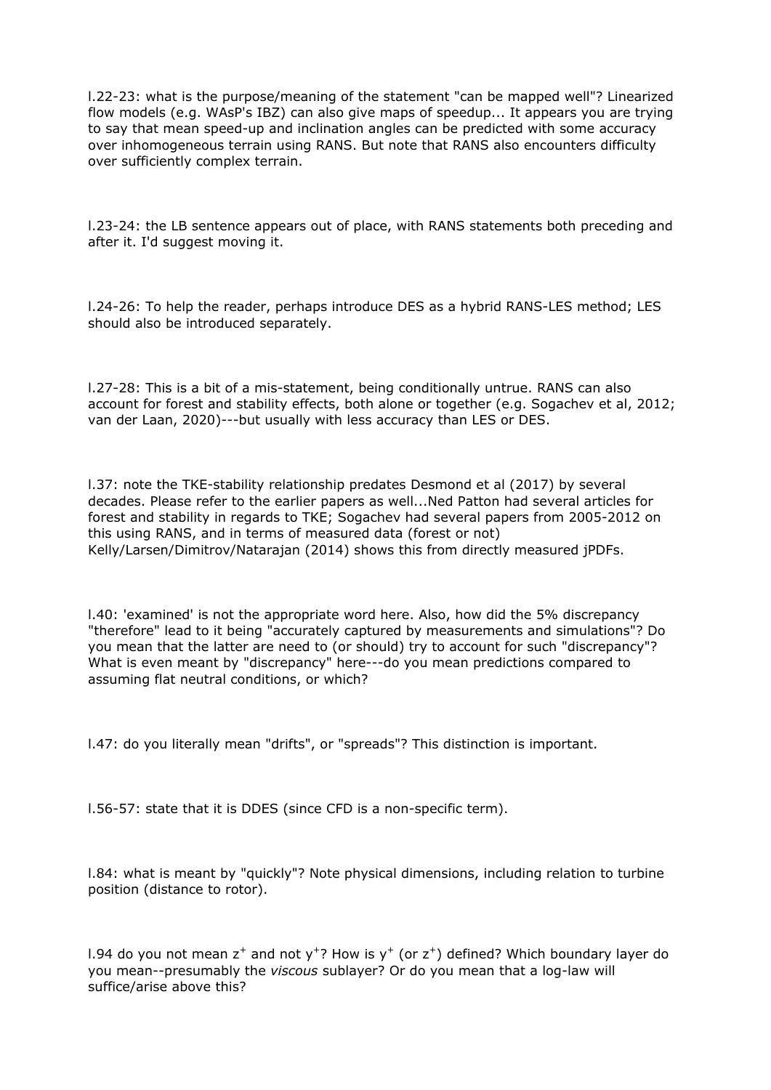l.22-23: what is the purpose/meaning of the statement "can be mapped well"? Linearized flow models (e.g. WAsP's IBZ) can also give maps of speedup... It appears you are trying to say that mean speed-up and inclination angles can be predicted with some accuracy over inhomogeneous terrain using RANS. But note that RANS also encounters difficulty over sufficiently complex terrain.

l.23-24: the LB sentence appears out of place, with RANS statements both preceding and after it. I'd suggest moving it.

l.24-26: To help the reader, perhaps introduce DES as a hybrid RANS-LES method; LES should also be introduced separately.

l.27-28: This is a bit of a mis-statement, being conditionally untrue. RANS can also account for forest and stability effects, both alone or together (e.g. Sogachev et al, 2012; van der Laan, 2020)---but usually with less accuracy than LES or DES.

l.37: note the TKE-stability relationship predates Desmond et al (2017) by several decades. Please refer to the earlier papers as well...Ned Patton had several articles for forest and stability in regards to TKE; Sogachev had several papers from 2005-2012 on this using RANS, and in terms of measured data (forest or not) Kelly/Larsen/Dimitrov/Natarajan (2014) shows this from directly measured jPDFs.

l.40: 'examined' is not the appropriate word here. Also, how did the 5% discrepancy "therefore" lead to it being "accurately captured by measurements and simulations"? Do you mean that the latter are need to (or should) try to account for such "discrepancy"? What is even meant by "discrepancy" here---do you mean predictions compared to assuming flat neutral conditions, or which?

l.47: do you literally mean "drifts", or "spreads"? This distinction is important.

l.56-57: state that it is DDES (since CFD is a non-specific term).

l.84: what is meant by "quickly"? Note physical dimensions, including relation to turbine position (distance to rotor).

l.94 do you not mean  $z^+$  and not y<sup>+</sup>? How is y<sup>+</sup> (or  $z^+$ ) defined? Which boundary layer do you mean--presumably the *viscous* sublayer? Or do you mean that a log-law will suffice/arise above this?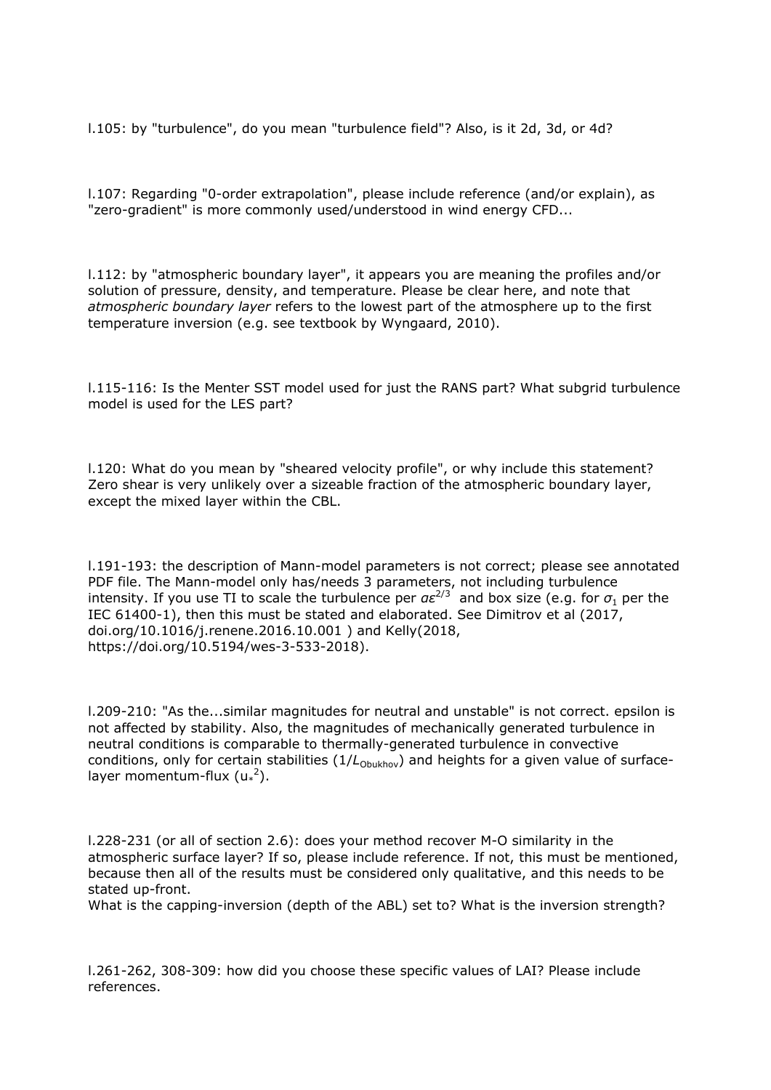l.105: by "turbulence", do you mean "turbulence field"? Also, is it 2d, 3d, or 4d?

l.107: Regarding "0-order extrapolation", please include reference (and/or explain), as "zero-gradient" is more commonly used/understood in wind energy CFD...

l.112: by "atmospheric boundary layer", it appears you are meaning the profiles and/or solution of pressure, density, and temperature. Please be clear here, and note that *atmospheric boundary layer* refers to the lowest part of the atmosphere up to the first temperature inversion (e.g. see textbook by Wyngaard, 2010).

l.115-116: Is the Menter SST model used for just the RANS part? What subgrid turbulence model is used for the LES part?

l.120: What do you mean by "sheared velocity profile", or why include this statement? Zero shear is very unlikely over a sizeable fraction of the atmospheric boundary layer, except the mixed layer within the CBL.

l.191-193: the description of Mann-model parameters is not correct; please see annotated PDF file. The Mann-model only has/needs 3 parameters, not including turbulence intensity. If you use TI to scale the turbulence per  $a\varepsilon^{2/3}$  and box size (e.g. for  $\sigma_1$  per the IEC 61400-1), then this must be stated and elaborated. See Dimitrov et al (2017, doi.org/10.1016/j.renene.2016.10.001 ) and Kelly(2018, https://doi.org/10.5194/wes-3-533-2018).

l.209-210: "As the...similar magnitudes for neutral and unstable" is not correct. epsilon is not affected by stability. Also, the magnitudes of mechanically generated turbulence in neutral conditions is comparable to thermally-generated turbulence in convective conditions, only for certain stabilities (1/L<sub>Obukhov</sub>) and heights for a given value of surfacelayer momentum-flux  $(u^2)$ .

l.228-231 (or all of section 2.6): does your method recover M-O similarity in the atmospheric surface layer? If so, please include reference. If not, this must be mentioned, because then all of the results must be considered only qualitative, and this needs to be stated up-front.

What is the capping-inversion (depth of the ABL) set to? What is the inversion strength?

l.261-262, 308-309: how did you choose these specific values of LAI? Please include references.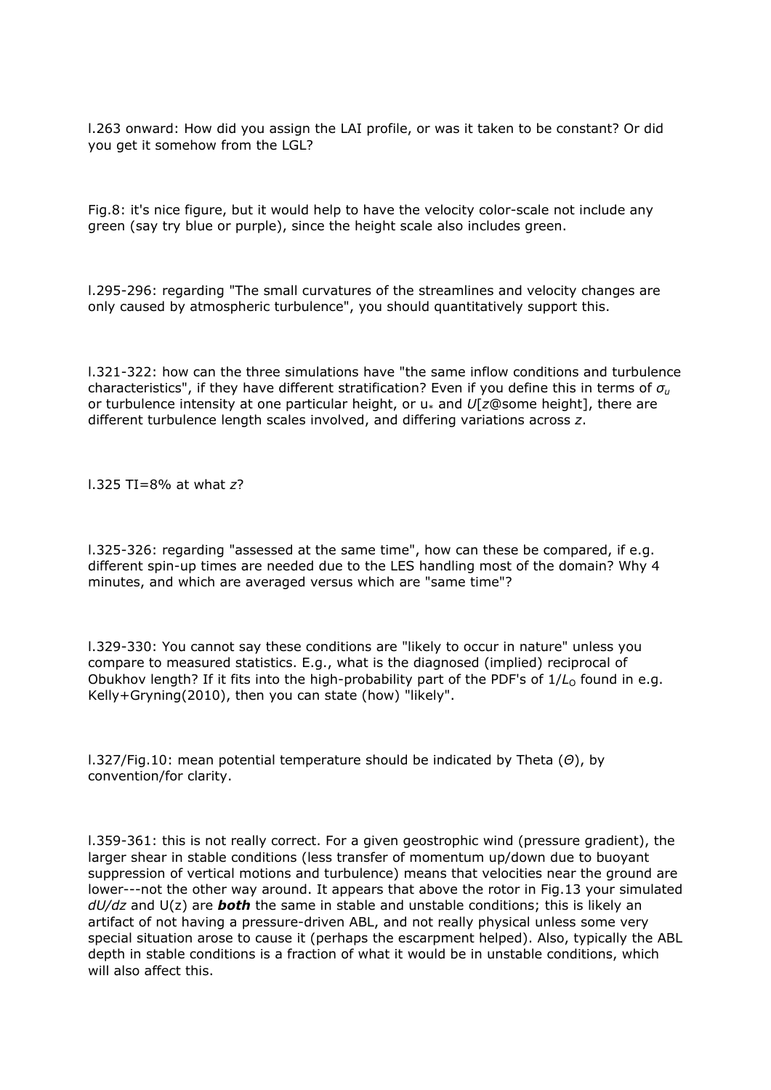l.263 onward: How did you assign the LAI profile, or was it taken to be constant? Or did you get it somehow from the LGL?

Fig.8: it's nice figure, but it would help to have the velocity color-scale not include any green (say try blue or purple), since the height scale also includes green.

l.295-296: regarding "The small curvatures of the streamlines and velocity changes are only caused by atmospheric turbulence", you should quantitatively support this.

l.321-322: how can the three simulations have "the same inflow conditions and turbulence characteristics", if they have different stratification? Even if you define this in terms of *σ<sup>u</sup>* or turbulence intensity at one particular height, or u\* and *U*[*z*@some height], there are different turbulence length scales involved, and differing variations across *z*.

l.325 TI=8% at what *z*?

l.325-326: regarding "assessed at the same time", how can these be compared, if e.g. different spin-up times are needed due to the LES handling most of the domain? Why 4 minutes, and which are averaged versus which are "same time"?

l.329-330: You cannot say these conditions are "likely to occur in nature" unless you compare to measured statistics. E.g., what is the diagnosed (implied) reciprocal of Obukhov length? If it fits into the high-probability part of the PDF's of 1/L<sub>0</sub> found in e.g. Kelly+Gryning(2010), then you can state (how) "likely".

l.327/Fig.10: mean potential temperature should be indicated by Theta (*Θ*), by convention/for clarity.

l.359-361: this is not really correct. For a given geostrophic wind (pressure gradient), the larger shear in stable conditions (less transfer of momentum up/down due to buoyant suppression of vertical motions and turbulence) means that velocities near the ground are lower---not the other way around. It appears that above the rotor in Fig.13 your simulated *dU/dz* and U(z) are *both* the same in stable and unstable conditions; this is likely an artifact of not having a pressure-driven ABL, and not really physical unless some very special situation arose to cause it (perhaps the escarpment helped). Also, typically the ABL depth in stable conditions is a fraction of what it would be in unstable conditions, which will also affect this.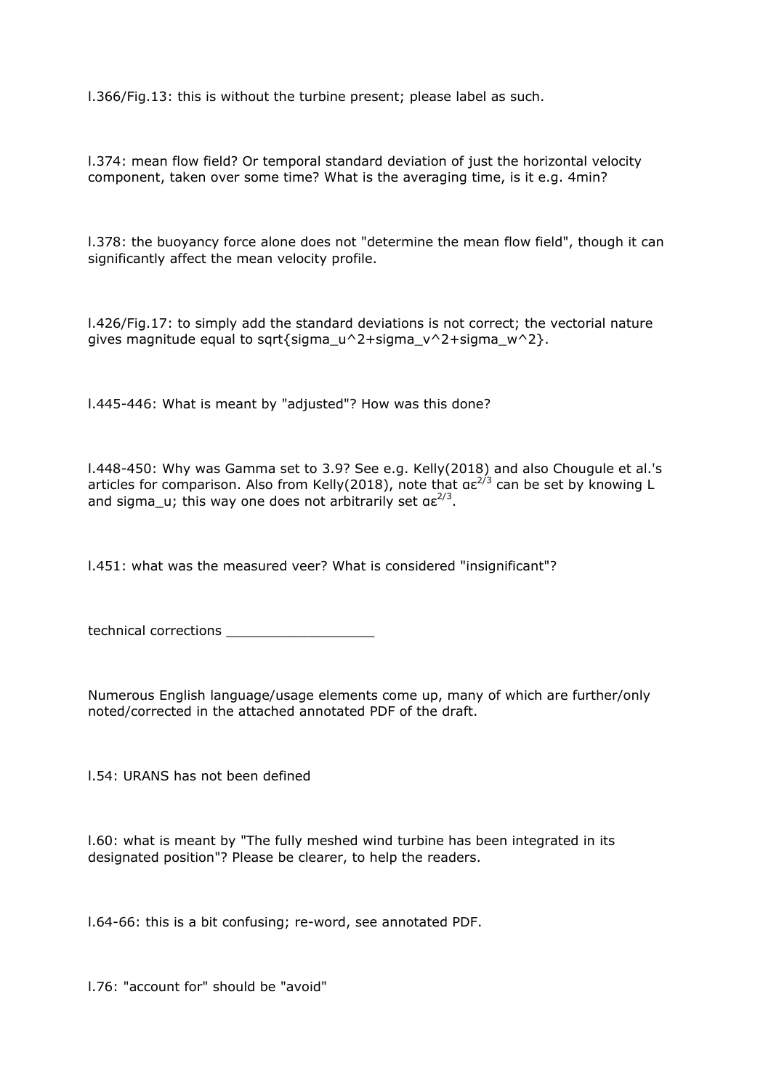l.366/Fig.13: this is without the turbine present; please label as such.

l.374: mean flow field? Or temporal standard deviation of just the horizontal velocity component, taken over some time? What is the averaging time, is it e.g. 4min?

l.378: the buoyancy force alone does not "determine the mean flow field", though it can significantly affect the mean velocity profile.

l.426/Fig.17: to simply add the standard deviations is not correct; the vectorial nature gives magnitude equal to sqrt{sigma\_u^2+sigma\_v^2+sigma\_w^2}.

l.445-446: What is meant by "adjusted"? How was this done?

l.448-450: Why was Gamma set to 3.9? See e.g. Kelly(2018) and also Chougule et al.'s articles for comparison. Also from Kelly(2018), note that  $a\epsilon^{2/3}$  can be set by knowing L and sigma\_u; this way one does not arbitrarily set  $a\epsilon^{2/3}$ .

l.451: what was the measured veer? What is considered "insignificant"?

technical corrections

Numerous English language/usage elements come up, many of which are further/only noted/corrected in the attached annotated PDF of the draft.

l.54: URANS has not been defined

l.60: what is meant by "The fully meshed wind turbine has been integrated in its designated position"? Please be clearer, to help the readers.

l.64-66: this is a bit confusing; re-word, see annotated PDF.

l.76: "account for" should be "avoid"